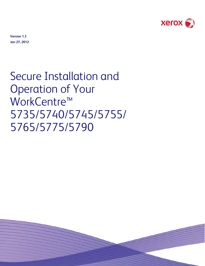

**Version 1.3 Jan 27, 2012** 

# Secure Installation and Operation of Your WorkCentre™ 5735/5740/5745/5755/ 5765/5775/5790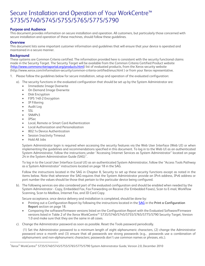# Secure Installation and Operation of Your WorkCentre™ 5735/5740/5745/5755/5765/5775/5790

# **Purpose and Audience**

This document provides information on secure installation and operation. All customers, but particularly those concerned with secure installation and operation of these machines, should follow these guidelines.

#### **Overview**

This document lists some important customer information and guidelines that will ensure that your device is operated and maintained in a secure manner.

#### **Background**

These systems are Common Criteria certified. The information provided here is consistent with the security functional claims made in the Security Target. The Security Target will be available from the Common Criteria Certified Product website [\(http://www.commoncriteriaportal.org/products.html\)](http://www.commoncriteriaportal.org/products.html) list of evaluated products, from the Xerox security website (http://www.xerox.com/information-security/common-criteria-certified/enus.html ) or from your Xerox representative.

1. Please follow the guidelines below for secure installation, setup and operation of the evaluated configuration:

- a). The security functions in the evaluated configuration that should be set up by the System Administrator are:
	- Immediate Image Overwrite<br>• On Demand Image Overwrite
	- On Demand Image Overwrite
	- Disk Encryption
	- FIPS 140-2 Encryption
	- IP Filtering
	- Audit Log
	- **SSL**

È,

- SNMPv3
- IPSec
- Local, Remote or Smart Card Authentication
- Local Authorization and Personalization
- 802.1x Device Authentication
- Session Inactivity Timeout
- Hold All Jobs

System Administrator login is required when accessing the security features via the Web User Interface (Web UI) or when implementing the guidelines and recommendations specified in this document. To log in to the Web UI as an authenticated System Administrator, follow the instructions under "Accessing Internet Services as System Administrator" located on page  $24$  in the System Administration Guide (SAG)<sup>[1](#page-1-0)</sup>.

To log in to the Local User Interface (Local UI) as an authenticated System Administrator, follow the "Access Tools Pathway as a System Administrator" instructions located on page 18 in the SAG.

Follow the instructions located in the SAG in Chapter 8, Security to set up these security functions except as noted in the items below. Note that whenever the SAG requires that the System Administrator provide an IPv4 address, IPv6 address or port number the values should be those that pertain to the particular device being configured.

b). The following services are also considered part of the evaluated configuration and should be enabled when needed by the System Administrator - Copy, Embedded Fax, Fax Forwarding on Receive (for Embedded Faxes), Scan to E-mail, Workflow Scanning, Scan to Mailbox, Internet Fax, and ID Card Copy.

Secure acceptance, once device delivery and installation is completed, should be done by:

- Printing out a Configuration Report by following the instructions located in the [SAG](http://www.support.xerox.com/support/workcentre-5735-5740-5745-5755/file-redirect/enus.html?operatingSystem=win7&fileLanguage=en&contentId=110561) in the **Print a Configuration Report** section on page 18.
- Comparing the software/firmware versions listed on the Configuration Report with the Evaluated Software/Firmware versions listed in Table 2 of the Xerox WorkCentre™ 5735/5740/5745/5755/5765/5775/5790 Security Target, Version 1.0 and make sure that they are the same in all cases.
- c). Change the Administrator password as soon as possible. Reset the Tools password periodically.

 (1) Set the Administrator password to a minimum length of eight alphanumeric characters, (2) change the Administrator password once a month and (3) ensure that all passwords are strong passwords (e.g., passwords use a combination of alphanumeric and non-alphanumeric characters; passwords don't use common names or phrases, etc.).

<span id="page-1-0"></span> $^1$ Xerox $^\circ$  WorkCentre $^\circ$  5735/5740/5745/5755/5765/5775/5790 System Administrator Guide, Version 2.0, December 2010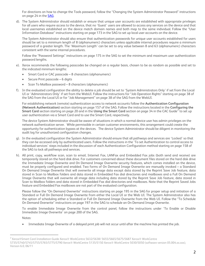For directions on how to change the Tools password, follow the "Changing the System Administrator Password" instructions on page 24 in the [SAG](http://www.support.xerox.com/support/workcentre-5735-5740-5745-5755/file-redirect/enus.html?operatingSystem=win7&fileLanguage=en&contentId=110561).

d). The System Administrator should establish or ensure that unique user accounts are established with appropriate privileges for all users who require access to the device, that no 'Guest' users are allowed to access any services on the device and that local usernames established on the device match domain names and both map to the same individual. Follow the "User Information Database" instructions starting on page 173 in the SAG to set up local user accounts on the device.

The System Administrator should also ensure that authentication passwords for unique user accounts established for users should be set to a minimum length of 8 (alphanumeric) characters unless applicable internal procedures require a minimum password of a greater length. The 'Maximum Length' can be set to any value between 8 and 63 (alphanumeric) characters consistent with the same internal procedures.

Follow the "Password Settings" instructions on page 175 in the SAG to set the minimum and maximum user authentication password lengths.

- e). Xerox recommends the following passcodes be changed on a regular basis, chosen to be as random as possible and set to the indicated minimum lengths:
	- Smart Card or CAC passcode 8 characters (alphanumeric)
	- Secure Print passcode 6 digits
	- Scan To Mailbox password 8 characters (alphanumeric)
- f). In the evaluated configuration the ability to delete a job should be set to 'System Administrators Only' if set from the Local UI or 'Administrators Only' if set from the WebUI. Follow the instructions for "Job Operation Rights" starting on page 38 of the SAG from the Local UI or for "Job Management" on page 38 of the SAG from the WebUI.

For establishing network (remote) authentication access to network accounts follow the **Authentication Configuration (Network Authentication)** section starting on page 157 of the SAG. Follow the instructions located in the **Configuring the Smart Card** section starting on page [2](#page-2-0)0 and in the **Using the Smart Card** section on page 34 in the CAC Guide<sup>2</sup> to set up user authentication via a Smart Card and to use the Smart Card, respectively.

The device System Administrator should be aware of situations in which a normal device user has admin privileges on the network authentication server. While permissible in certain customer environments, this arrangement could create the opportunity for authentication bypass at the devices. The device System Administrator should be diligent in monitoring the audit log for unauthorized configuration changes.

- g). In the evaluated configuration the System Administrator should ensure that all pathways and services are 'Locked' so that they can be accessed only by authenticated users. Follow the instructions in the 'To set Authentication to control access to individual services' steps included in the discussion of each Authentication Configuration method starting on page 158 of the SAG to lock all pathways and services.
- h). All print, copy, workflow scan, scan to email, Internet Fax, LANFax and Embedded Fax jobs (both send and receive) are temporarily stored on the hard disk drive. For customers concerned about these document files stored on the hard disk drive the Immediate Image Overwrite and On Demand Image Overwrite security features, which comes installed on the device, must be properly configured and enabled. Two forms of On Demand Image Overwrite are manually invoked – a Standard On Demand Image Overwrite that will overwrite all image data except data stored by the Reprint Save Job feature, data stored in Scan to Mailbox folders and data stored in Embedded Fax dial directories and mailboxes and a Full On Demand Image Overwrite that will overwrite all image data including data stored by the Reprint Save Job feature, data stored in Scan to Mailbox folders and data stored in Embedded Fax dial directories and mailboxes. Note that the Reprint Saved Jobs feature and Embedded Fax mailboxes are not part of the evaluated configuration.

Please follow the "On Demand Overwrite" instructions starting on page 195 in the SAG for proper setup and initiation of a Standard or Full On Demand Image Overwrite from either the Local UI or the Web UI. The System Administrator also has the option of scheduling either a Standard or Full On Demand Image Overwrite from the Web UI. Follow the "To Schedule On Demand Overwrite" instructions on page 197 in the SAG to schedule an On Demand Image Overwrite.

To enable Immediate Image Overwrite from the control panel, follow the instructions under 'To Enable or Disable Immediate Image Overwrite' on page 200 of the SAG.

Notes:

È,

• Immediate Image Overwrite of a delayed print job will not occur until after the machine has printed the job.

<span id="page-2-0"></span><sup>2</sup> Xerox®Smart Card Installation Guide Xerox® WorkCentre 5632/5638/ 5655/5665/5675/5687 Xerox® WorkCentre

<sup>5735/5740/5745/5755/5765/5775/5790</sup> Xerox® WorkCentre 5135/5150 Xerox® WorkCentre 5030/5050 (software version 05.004.xx.xxx), Version 6.0, 06/11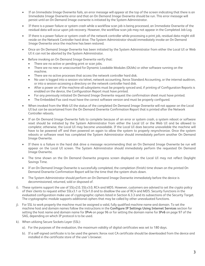- If an Immediate Image Overwrite fails, an error message will appear at the top of the screen indicating that there is an Immediate Image Overwrite error and that an On Demand Image Overwrite should be run. This error message will persist until an On Demand Image overwrite is initiated by the System Administrator.
- If there is a power failure or system crash while a workflow scan job is being processed, an Immediate Overwrite of the residual data will occur upon job recovery. However, the workflow scan job may not appear in the Completed Job Log.
- If there is a power failure or system crash of the network controller while processing a print job, residual data might still reside on the Network Controller hard drive. The System Administrator should immediately invoke an On Demand Image Overwrite once the machine has been restored.
- Once an On Demand Image Overwrite has been initiated by the System Administrator from either the Local UI or Web UI it can not be aborted by the System Administrator.
- Before invoking an On Demand Image Overwrite verify that:
	- There are no active or pending print or scan jobs.
	- There are no new or unaccounted for Dynamic Loadable Modules (DLMs) or other software running on the machine.
	- There are no active processes that access the network controller hard disk.
	- No user is logged into a session via telnet, network accounting, Xerox Standard Accounting, or the internal auditron, or into a session accessing a directory on the network controller hard disk.
	- After a power on of the machine all subsystems must be properly synced and, if printing of Configuration Reports is enabled on the device, the Configuration Report must have printed.
	- For any previously initiated On Demand Image Overwrite request the confirmation sheet must have printed.
	- The Embedded Fax card must have the correct software version and must be properly configured.
- When invoked from the Web UI the status of the completed On Demand Image Overwrite will not appear on the Local UI but can be ascertained from the On Demand Overwrite Confirmation Report that is printed after the Network Controller reboots.
- If an On Demand Image Overwrite fails to complete because of an error or system crash, a system reboot or software reset should be initiated by the System Administrator from either the Local UI or the Web UI and be allowed to complete; otherwise, the Local UI may become unavailable. If the Local UI does become unavailable the machine will have to be powered off and then powered on again to allow the system to properly resynchronize. Once the system reboots or software reset has completed the System Administrator should immediately perform another On Demand Image Overwrite.
- If there is a failure in the hard disk drive a message recommending that an On Demand Image Overwrite be run will appear on the Local UI screen. The System Administrator should immediately perform the requested On Demand Image Overwrite.
- The time shown on the On Demand Overwrite progress screen displayed on the Local UI may not reflect Daylight Savings Time.
- If an On Demand Image Overwrite is successfully completed, the completion (finish) time shown on the printed On Demand Overwrite Confirmation Report will be the time that the system shuts down.
- The System Administrator should perform an On Demand Image Overwrite immediately before the device is decommissioned, returned, sold or disposed of.
- i). These systems support the use of SSLv2.0, SSLv3.0, RC4 and MD5. However, customers are advised to set the crypto policy of their clients to request either SSLv3.1 or TLSv1.0 and to disallow the use of RC4 and MD5. Security functions in the evaluated configuration make use of cryptographic ciphers listed in Section 6.3.3 and its subsections of the Security Target. The cryptographic module supports additional ciphers that may be called by other unevaluated functions.
- j). For SSL to work properly the machine must be assigned a valid, fully qualified machine name and domain. To set the machine host and domain names follow the instructions in the **Configure IP Settings Using Internet Services** section for setting the host name and domain name for **IPv4** on page 96 or for setting the domain name for **IPv6** on page 97 of the SAG, depending on which IP protocol is to be used.
- k). When utilizing Secure Sockets Layer (SSL):
	- a). For the purposes of the evaluation, the maximum validity of digital certificates was set to 180 days.
	- b). If a self-signed certificate is to be used the generic Xerox root CA certificate should be downloaded from the device and installed in the certificate store of the user's browser.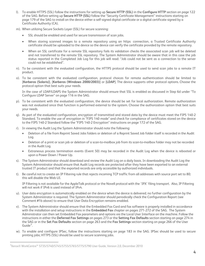- l). To enable HTTPS (SSL) follow the instructions for setting up **Secure HTTP (SSL)** in the **Configure HTTP** section on page 122 of the SAG. Before setting up **Secure HTTP (SSL)** follow the "Security Certificate Management" instructions starting on page 179 of the SAG to install on the device either a self-signed digital certificate or a digital certificate signed by a Certificate Authority (CA).
- m). When utilizing Secure Sockets Layer (SSL) for secure scanning:
	- SSL should be enabled and used for secure transmission of scan jobs.
	- When storing scanned images to a remote repository using an https connection, a Trusted Certificate Authority certificate should be uploaded to the device so the device can verify the certificate provided by the remote repository.
	- When an SSL certificate for a remote SSL repository fails its validation checks the associated scan job will be deleted and not transferred to the remote SSL repository. The System Administrator should be aware that in this case the job status reported in the Completed Job Log for this job will read: "Job could not be sent as a connection to the server could not be established".
- n). To be consistent with the evaluated configuration, the HTTPS protocol should be used to send scan jobs to a remote IT product.
- o). To be consistent with the evaluated configuration, protocol choices for remote authentication should be limited to [**Kerberos (Solaris)**], [**Kerberos (Windows 2000/2003)**] or [**LDAP**]. The device supports other protocol options. Choose the protocol option that best suits your needs.

In the case of LDAP/LDAPS the System Administrator should ensure that SSL is enabled as discussed in Step 6d under "To Configure LDAP Server" on page 116 in the SAG.

- p). To be consistent with the evaluated configuration, the device should be set for local authorization. Remote authorization was not evaluated since that function is performed external to the system. Choose the authorization option that best suits your needs.
- q). As part of the evaluated configuration, encryption of transmitted and stored data by the device must meet the FIPS 140-2 Standard. To enable the use of encryption in "FIPS 140 mode" and check for compliance of certificates stored on the device to the FIPS 140-2 Standard follow the "FIPS 140-2 Encryption" instructions on page 172 of the SAG.
- r). In viewing the Audit Log the System Administrator should note the following:
	- Deletion of a file from Reprint Saved Jobs folders or deletion of a Reprint Saved Job folder itself is recorded in the Audit Log.
	- Deletion of a print or scan job or deletion of a scan-to-mailbox job from its scan-to-mailbox folder may not be recorded in the Audit Log.
	- Extraneous process termination events (Event 50) may be recorded in the Audit Log when the device is rebooted or upon a Power Down / Power Up.
- s). The System Administrator should download and review the Audit Log on a daily basis. In downloading the Audit Log the System Administrator should ensure that Audit Log records are protected after they have been exported to an external trusted IT product and that the exported records are only accessible by authorized individuals.
- t). Be careful not to create an IP Filtering rule that rejects incoming TCP traffic from all addresses with source port set to 80; this will disable the Web UI.

IP Filtering is not available for the AppleTalk protocol or the Novell protocol with the 'IPX' filing transport. Also, IP Filtering will not work if IPv6 is used instead of IPv4.

- u). User data encryption is automatically enabled on the device when the device is delivered; no further configuration by the System Administrator is required. The System Administrator should periodically check the Configuration Report (see Comment #1b above) to ensure that User Data Encryption remains enabled.
- v). The System Administrator should ensure that the Embedded Fax Card and fax software is properly installed in accordance with the installation and setup instructions in the **Embedded Fax** chapter on pages 271-272 of the SAG. The System Administrator can then set Embedded Fax parameters and options via the Local User Interface on the machine. Follow the instructions in either the **Deferred Fax Settings** on pages 273 or the **Setting Fax Defaults** section starting on page 274 in the SAG or in the **Set Fax Defaults** section on page 263 and the **Fax Settings** section starting on page 266 of the User Guide $3$ .
- w). To enable and configure IPSec, follow the instructions starting on page 183 in the SAG. IPSec should be used to secure printing jobs; HTTPS (SSL) should be used to secure scanning jobs.

È,

<span id="page-4-0"></span> $3$ Xerox® WorkCentre™ 5735/5740/5745/5755/5765/5775/5790 User Guide, Version 2,0, December 2010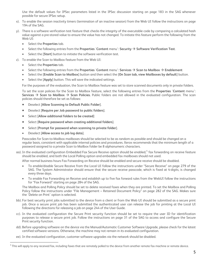Use the default values for IPSec parameters listed in the IPSec discussion starting on page 183 in the SAG whenever possible for secure IPSec setup.

- x). To enable the session inactivity timers (termination of an inactive session) from the Web UI follow the instructions on page 194 of the SAG.
- y). There is a software verification test feature that checks the integrity of the executable code by comparing a calculated hash value against a pre-stored value to ensure the value has not changed. To initiate this feature perform the following from the Web UI:
	- Select the **Properties** tab.
	- Select the following entries from the **Properties** 'Content menu': Security  $\rightarrow$  Software Verification Test.
	- Select the [**Start**] button to initiate the software verification test.
- z). To enable the Scan to Mailbox feature from the Web UI:
	- Select the **Properties** tab.
	- Select the following entries from the **Properties** 'Content menu': Services  $\rightarrow$  Scan to Mailbox  $\rightarrow$  Enablement
	- Select the [**Enable Scan to Mailbox**] button and then select the [**On Scan tab, view Mailboxes by default**] button.
	- Select the [**Apply**] button. This will save the indicated settings.

For the purposes of the evaluation, the Scan to Mailbox feature was set to store scanned documents only in private folders.

To set the scan policies for the Scan to Mailbox feature, select the following entries from the **Properties** '**Content** menu': **Services**  $\rightarrow$  **Scan to Mailbox**  $\rightarrow$  **Scan Policies. Public folders are not allowed in the evaluated configuration. The scan** policies should therefore be set as follows:

- Deselect [**Allow Scanning to Default Public Folder**].
- Deselect [**Require per Job password to public folders**].
- Select [**Allow additional folders to be created**]
- Select [**Require password when creating additional folders**].
- Select [**Prompt for password when scanning to private folder**].
- Deselect [**Allow access to job log data**].

È,

Passcodes for Scan-to-Mailbox mailboxes should be selected to be as random as possible and should be changed on a regular basis, consistent with applicable internal policies and procedures. Xerox recommends that the minimum length of a password assigned to a private Scan to Mailbox folder be 8 alphanumeric characters.

aa). In the evaluated configuration Embedded Fax Secure Receive option should be enabled,<sup>[4](#page-5-0)</sup> fax forwarding on receive feature should be enabled, and both the Local Polling option and embedded fax mailboxes should not used.

After normal business hours Fax Forwarding on Receive should be enabled and secure receive should be disabled.

- To enable/disable Secure Receive from the Local UI follow the instructions under "Secure Receive" on page 279 of the SAG. The System Administrator should ensure that the secure receive passcode, which is fixed at 4-digits, is changed every three days.
- To enable Fax Forwarding on Receive and establish up to five fax forward rules from the WebUI follow the instructions for "Fax Forward" starting on page 284 of the SAG.

The Mailbox and Polling Policy should be set to delete received faxes when they are printed. To set the Mailbox and Polling Policy follow the instructions under "File Management – Retained Document Policy" on page 282 of the SAG. Makes sure the 'Delete on Print' option is selected.

- bb). For best security print jobs submitted to the device from a client or from the Web UI should be submitted as a secure print job. Once a secure print job has been submitted the authenticated user can release the job for printing at the Local UI following the directions for releasing a job on page 244 of the User Guide.
- cc). In the evaluated configuration the Secure Print security function should be set to require the user ID for identification purposes to release a secure print job. Follow the instructions on page 31 of the SAG to access and configure the Secure Print security function.
- dd). Before upgrading software on the device via the Manual/Automatic Customer Software Upgrade, please check for the latest certified software versions. Otherwise, the machine may not remain in its evaluated configuration.
- ee). In the evaluated configuration, customer software upgrades via the network should be disabled.

<span id="page-5-0"></span> $^4$  This will apply to any received fax, including faxes that are remotely polled to the device from another remote fax machine or remote device.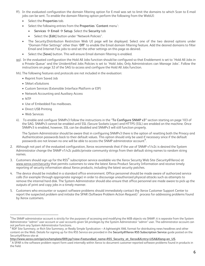- ff). In the evaluated configuration the domain filtering option for E-mail was set to limit the domains to which Scan to E-mail jobs can be sent. To enable the domain filtering option perform the following from the WebUI:
	- Select the **Properties** tab.
	- Select the following entries from the **Properties** '**Content** menu':
		- **Services**  $\rightarrow$  **Email**  $\rightarrow$  **Setup**. Select the **Security** tab
		- Select the [**Edit**] button under "Network Policies".
	- The Security:Distribution Restriction Web UI page will be displayed. Select one of the two desired options under "Domain Filter Settings" other than '**Off**' to enable the Email domain filtering feature. Add the desired domains to filter Email and Internet Fax jobs to and set the other settings on this page as desired.
	- Select the [**Save**] button. This will ensure Email domain filtering is enabled.
- gg). In the evaluated configuration the Hold All Jobs function should be configured so that Enablement is set to 'Hold All Jobs in a Private Queue' and the Unidentified Jobs Policies is set to 'Hold Jobs; Only Administrators can Manage Jobs'. Follow the instructions on page 32 of the SAG to access and configure the Hold All Jobs function.
- hh). The following features and protocols are not included in the evaluation:
	- Reprint from Saved Job
	- SMart eSolutions
	- Custom Services (Extensible Interface Platform or EIP)
	- Network Accounting and Auxiliary Access
	- NTP

È,

- Use of Embedded Fax mailboxes.
- Direct USB Printing
- Web Services
- ii). To enable and configure SNMPv3 follow the instructions in the "**To Configure SNMP v3"** section starting on page 103 of the SAG. SNMPv3 cannot be enabled until SSL (Secure Sockets Layer) and HTTPS (SSL) are enabled on the machine. Once SNMPv3 is enabled, however, SSL can be disabled and SNMPv3 will still function properly.

The System Administrator should be aware that in configuring SNMPv3 there is the option of resetting both the Privacy and Authentication passwords back to their default values. This option should only be used if necessary since if the default passwords are not known no one will be able to access the SNMP administrator account**[5](#page-6-0)** .

- 2. Although not part of the evaluated configuration, Xerox recommends that if the use of SNMP v1/v2c is desired the System Administrator change the SNMP v1/v2c public/private community strings from their default string names to random string names.
- 3. Customers should sign up for the RSS<sup>[6](#page-6-1)</sup> subscription service available via the Xerox Security Web Site (Security@Xerox) at [www.xerox.com/security](http://www.xerox.com/security) that permits customers to view the latest Xerox Product Security Information and receive timely reporting of security information about Xerox products, including the latest security patches.
- 4. The device should be installed in a standard office environment. Office personnel should be made aware of authorized service calls (for example through appropriate signage) in order to discourage unauthorized physical attacks such as attempts to remove the internal hard disk. The System Administrator should also ensure that office personnel are made aware to pick up the outputs of print and copy jobs in a timely manner.
- 5. Customers who encounter or suspect software problems should immediately contact the Xerox Customer Support Center to report the suspected problem and initiate the SPAR (Software Problem Action Request) $^7$  $^7$  process for addressing problems found by Xerox customers.

<span id="page-6-0"></span> $^{\rm 5}$ The SNMP administrator account is strictly for the purposes of accessing and modifying the MIB objects via SNMP; it is separate from the System Administrator "admin" user account or user accounts given SA privileges by the System Administrator "admin" user. The administrator account can

<span id="page-6-1"></span>not perform any System Administrator functions.<br><sup>6</sup> RDF Site Summary, or Rich Site Summary, or Really Simple Syndication – A lightweight XML format for distributing news headlines and other content on the Web. Details for signing up for this RSS Service are provided in the **Security@Xerox RSS Subscription Service** guide posted on the Security@Xerox site at

**[http://www.xerox.com/go/xrx/template/009.jsp?view=Feature&ed\\_name=RSS\\_Security\\_at\\_Xerox&Xcntry=USA&Xlang=en\\_US.](http://www.xerox.com/go/xrx/template/009.jsp?view=Feature&ed_name=RSS_Security_at_Xerox&Xcntry=USA&Xlang=en_US)** <sup>7</sup>

<span id="page-6-2"></span>A SPAR is the software problem report form used internally within Xerox to document customer-reported software problems found in products in the field.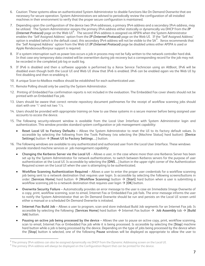- 6. Caution: These systems allow an authenticated System Administrator to disable functions like On Demand Overwrite that are necessary for secure operation. System Administrators are advised to periodically review the configuration of all installed machines in their environment to verify that the proper secure configuration is maintained.
- 7. Depending upon the configuration of the device two IPv4 addresses, a primary IPv4 address and a secondary IPv4 address, may be utilized. The System Administrator assigns the primary IPv4 address either statically or dynamically via DHCP from the *IP (Internet Protocol)* page on the Web UI<sup>[8](#page-7-0)</sup>. The second IPv4 address is assigned via APIPA when the System Administrator enables the 'Self Assigned Address' option from the *IP (Internet Protocol)* page on the Web UI. If the 'Self Assigned Address' option is enabled (which is the default case), this secondary IPv4 address will not be visible to the SA<sup>[9](#page-7-1)</sup>. Xerox recommends that the 'Self Assigned Address' option from the Web UI *IP (Internet Protocol)* page be disabled unless either APIPA is used or Apple Rendezvous/Bonjour support is required.
- 8. If a system interruption such as power loss occurs a job in process may not be fully written to the network controller hard disk. In that case any temporary data created will be overwritten during job recovery but a corresponding record for the job may not be recorded in the completed job log or audit log.
- 9. If IPv6 is disabled and then a software upgrade is performed by a Xerox Service Technician using an AltBoot, IPv6 will be disabled even though both the Local UI and Web UI show that IPv6 is enabled. IPv6 can be enabled again via the Web UI by first disabling and then re-enabling it.
- 10. A unique Scan-to-Mailbox mailbox should be established for each authenticated user.
- 11. Remote Polling should only be used by the System Administrator.
- 12. Printing of Embedded Fax confirmation reports is not included in the evaluation. The Embedded Fax cover sheets should not be printed with an Embedded Fax job.
- 13. Users should be aware that correct remote repository document pathnames for the receipt of workflow scanning jobs should start with one '\' and not two '\'s.
- 14. Users should be provided with appropriate training on how to use these systems in a secure manner before being assigned user accounts to access the device.
- 15. The following security-relevant window is available from the Local User Interface with System Administrator login and authentication. This window provides standard system configuration or job management capability:
	- **Reset Local UI to Factory Defaults**  Allows the System Administrator to reset the UI to its factory default values. Is accessible by selecting the following from the Tools Pathway (via selecting the [Machine Status] hard button): [**Device**  Settings] button → [Reset UI to Factory Settings...] button.
- 16. The following windows are available to any authenticated and authorized user from the Local User Interface. These windows provide standard machine services or job management capability:
	- **Changing the Kerberos Server via the Local UI**  Allows a user, in the case where more than one Kerberos Server has been set up by the System Administrator for network authentication, to switch between Kerberos servers for the purpose of user authentication at the Local UI. Is accessible by selecting the [**DNS…**] button in the upper right corner of the Authentication Required screen on the Local UI when the user is attempting to be authenticated.
	- **Workflow Scanning Authentication Required**  Allows a user to enter the proper user credentials for a workflow scanning job being sent to a network destination that requires user login. Is accessible by selecting the following screens/buttons in order: [Services Home] hard button  $\rightarrow$  [Workflow Scanning] button  $\rightarrow$  [Start] hard button when a user is submitting a workflow scanning job to a network destination that requires user login  $\rightarrow$  [OK] button.
	- **Overwrite Security Failure**  Automatically provides an error message to the user is case an Immediate Image Overwrite of a copy, print, workflow scanning, scan to email, Internet Fax or Embedded Fax job fails. The error message informs the user to notify the System Administrator that an On Demand Overwrite should be run and persists on the Local UI screen until either a manual or a scheduled On Demand Overwrite is initiated.
	- **Internet Fax Build Job**  Allows a user to program, scan and store individual Build Job segments for an Internet Fax job. Is accessible by selecting the following: [Services Home] hard button  $\rightarrow$  Internet Fax button  $\rightarrow$  Job Assembly tab  $\rightarrow$  [Build **Job**] button.
	- **Pausing an active job being processed by the device**  Allows the user to pause an active copy, print, workflow scanning, scan to email, Internet Fax or Embedded Fax job while it is being processed. Is accessible by selecting the [**Stop**] machine hard button while a job is being processed by the device. Depending on the type of jobs being processed by the device when the [**Stop**] button is selected, one of the following **Pause** windows will be displayed as appropriate to allow the user to

<u>—</u>

<span id="page-7-0"></span> $^8$  The primary IPv4 address can also be assigned dynamically via DHCP from the Dynamic Addressing screen on the Local UI.<br> $^9$  The primary IPv4 address will glygys be displayed on the Configuration Pepert that can be pr

<span id="page-7-1"></span><sup>&</sup>lt;sup>9</sup> The primary IPv4 address will always be displayed on the Configuration Report that can be printed for the device.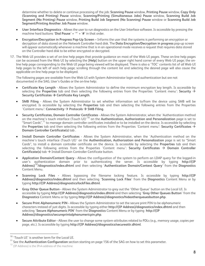determine whether to delete or continue processing of the job: **Scanning Pause** window, **Printing Pause** window, **Copy Only (Scanning and Printing) Pause** window, **Scanning/Printing (Simultaneous Jobs) Pause** window, **Scanning Build Job Segment (No Printing) Pause** window, **Printing Build Job Segment (No Scanning) Pause** window or **Scanning Build Job Segment/Printing Another Job Pause** window.

- **User Interface Diagnostics** Allows the user to run diagnostics on the User Interface software. Is accessible by pressing the machine hard buttons '**Dial Pause**' + '**\***' + '**#**' in that order.
- **Encryption/Decryption in Progress Pop-Up Screen**  Informs the user that the systems is performing an encryption or decryption of data stored on the Network Controller hard disk. The **Data Encryption/Decryption in progress** pop-up screen will appear automatically whenever a machine that is in an operational mode receives a request that requires data stored on the Controller hard disk to be either encrypted or decrypted.
- 17. The Web UI provides a set of on-line help pages that provide guidance on most of the Web UI pages. These on-line help pages can be accessed from the Web UI by selecting the [**Help**] button on the upper right hand corner of every Web UI page; the online help page corresponding to the Web UI page being viewed will be displayed. There is also a 'TOC' contents list of all Web UI help pages to the left of each help page; scrolling through the content list and selecting the desired page will also cause the applicable on-line help page to be displayed.

The following pages are available from the Web UI with System Administrator login and authentication but are not documented in the SAG, User's Guides or the on-line help:

- **Certificate Key Length**  Allows the System Administrator to define the minimum encryption key length. Is accessible by selecting the **Properties** tab and then selecting the following entries from the Properties 'Content menu': Security  $\rightarrow$ Security Certificates → Certificate Key Length.
- **SMB Filing**  Allows the System Administrator to set whether information set to/from the device using SMB will be encrypted. Is accessible by selecting the **Properties** tab and then selecting the following entries from the Properties 'Content menu': **Connectivity**  $\rightarrow$  **Protocols**  $\rightarrow$  **SMB Filing**.
- **Security Certificates, Domain Controller Certificates**  Allows the System Administrator, when the 'Authentication method on the machine's touch interface (Touch UI)'[10](#page-8-0) on the **Authentication, Authorization and Personalization** page is set to "Smart Cards",<sup>[11](#page-8-1)</sup> to manage domain controller certificates installed or to be installed on the device. Is accessible by selecting the **Properties** tab and then selecting the following entries from the Properties 'Content menu': **Security Certificates** Æ **Domain Controller Certificate(s)** tab .
- **Install Domain Controller Certificates**  Allows the System Administrator, when the 'Authentication method on the machine's touch interface (Touch UI)' on the **Authentication, Authorization and Personalization** page is set to "Smart Cards", to install a domain controller certificate on the device. Is accessible by selecting the **Properties** tab and then selecting the following entries from the Properties 'Content menu': **Security Certificates**  $\rightarrow$  **Domain Controller Certificate(s)**  $\text{tab} \rightarrow \text{Install Domain}$  Controller Certificate button.
- **Application Domain/Content Query** Allows the configuration of the system to perform an LDAP query for the logged-in user's authentication domain prior to authenticating the server. Is accessible by typing **http://{IP Address}[12](#page-8-2)/diagnostics/index.dhtml** and then selecting '**Authentication Domain/Context Query**' from the **Diagnostics** Content Menu.
- **Scanning Lock Files** Allows bypassing the filename locking feature. Is accessible by typing **http://{IP Address}/diagnostics/index.dhtml** and then selecting '**Scanning Lock Files**' from the **Diagnostics** Content Menu or by typing **http://{IP Address}/diagnostics/lockFiles.dhtml**.
- **Gray Other Queue Button** Allows the System Administrator to grey out the 'Other Queue' button on the Local UI. Is accessible by typing **http://{IP Address}/diagnostics/index.dhtml** and then selecting '**Grey Other Queues Button**' from the **Diagnostics** Content Menu or by typing **http://{IP Address}/diagnostics/hideotherqueuesbutton.php**.
- **Secure Print Alphanumeric PIN** Allows the System Administrator to set the secure print PIN to be alphanumeric characters instead of just digits. Is accessible by typing either **http://{IP Address}/diagnostics/index.dhtml** and then selecting '**Secure Alphanumeric PIN**' from the **Diagnostics** Content Menu or by typing **http://{IP Address}/diagnostics/secureprintalphanumericpin.php**.
- **Secure Attribute Editor** Allows the user to change some system attributes related to PDLs (e.g., memory usage, copies per page, etc.). Is accessible by typing **http://{IP Address}/diagnostics/secureattr.dhtml**.

<u>—</u>

<span id="page-8-0"></span><sup>&</sup>lt;sup>10</sup> 'Touch UI' is another term for the Local UI.

<span id="page-8-1"></span><sup>11</sup> See the **Authentication Configuration** section starting on page 156 of the SAG on how to set this parameter.

<span id="page-8-2"></span><sup>&</sup>lt;sup>12</sup> {IP Address} is the IPv4 address of the machine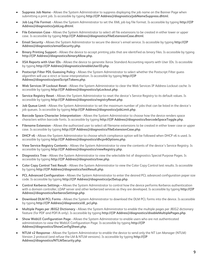- **Suppress Job Name** Allows the System Administrator to suppress displaying the job name on the Banner Page when submitting a print job. Is accessible by typing **http://{IP Address}/diagnostics/jobNameSuppress.dhtml**.
- **Job Log File Format** Allows the System Administrator to set the XML job log file format. Is accessible by typing **http://{IP Address}/diagnostics/jobLog.dhtml**.
- **File Extension Case** Allows the System Administrator to select all file extensions to be created in either lower or upper case. Is accessible by typing **http://{IP Address}/diagnostics/fileExtensionCase.dhtml**.
- **Email Security** Allows the System Administrator to secure the device's email service. Is accessible by typing **http://{IP Address}/diagnostics/emailSecurity.php**.
- **Binary Printing Support** Allows the device to accept printing jobs that are identified as binary files. Is accessible by typing **http://{IP Address}/diagnostics/binaryAllow.php.**
- **XSA Reports with User IDs** Allows the device to generate Xerox Standard Accounting reports with User IDs. Is accessible by typing **http://{IP Address}/diagnostics/enableUserID.php**.
- **Postscript Filter PDL Guessing Policy** Allows the System Administrator to select whether the Postscript Filter guess algorithm will use a strict or loose interpretation. Is accessible by typing **http://{IP Address}/diagnostics/postScriptTokens.php**.
- **Web Services IP Lockout Reset** Allows the System Administrator to clear the Web Services IP Address Lockout cache. Is accessible by typing **http://{IP Address}/diagnostics/ipLockout.php**.
- **Service Registry Reset** Allows the System Administrator to reset the device's Service Registry to its default values. Is accessible by typing **http://{IP Address}/diagnostics/registryReset.php**.
- **Job Queue Limit** Allows the System Administrator to set the maximum number of jobs that can be listed in the device's job queues. Is accessible by typing **http://{IP Address}/diagnostics/jobLimit.php**.
- **Barcode Space Character Interpretation** Allows the System Administrator to choose how the device renders space characters within barcode fonts. Is accessible by typing **http://{IP Address}/diagnostics/barcodeSpaceToggle.php**.
- **Filename Extension** Allows the authorized user to select all filename extensions to be created in either lower case or upper case. Is accessible by typing **http://{IP Address}/diagnostics/fileExtensionCase.php**.
- **DHCP v6** Allows the System Administrator to choose which compliance option will be followed when DHCP v6 is used. Is accessible by typing **http://{IP Address}/diagnostics/dhcpv6Options.php**.
- **View Service Registry Contents** Allows the System Administrator to view the contents of the device's Service Registry. Is accessible by typing **http://{IP Address}/diagnostics/viewRegistry.php**.
- **Diagnostics Tree** Allows the System Administrator to view the selectable list of diagnostics Special Purpose Pages. Is accessible by typing **http://{IP Address}/diagnostics/tree.php**.
- **Color Copy Control Test Result** Allows the System Administrator to view the Color Copy Control test results. Is accessible by typing **http://{IP Address}/diagnostics/testResult.php**.
- **PCL Advanced Configuration** Allows the System Administrator to enter the desired PCL advanced configuration paper size code. Is accessible by typing **http://{IP Address}/diagnostics/pclSetup.php**.
- **Control Kerberos Settings** Allows the System Administrator to control how the device performs Kerberos authentication with a domain controller, LDAP server and other kerberized services as they are developed. Is accessible by typing **http://{IP Address}/diagnostics/kerberosSettings.php**.
- **Download DLM PCL Forms** Allows the System Administrator to download the DLM PCL forms into the device. Is accessible by typing **http://{IP Address}/diagnostics/dl\_pcl.php**.
- **Multiple Pages per JBIG2 Dictionary** Allows the System Administrator to enable the multiple pages per JBIG2 dictionary feature (for PDF and PDF/A only). Is accessible by typing **http://{IP Address}/diagnostics/disableMultiplePages.php**.
- **Show WebUI Configuration Page** Allows the System Administrator to enable users who are not authenticated administrators to view the WebUI Configuration Page. Is accessible by typing **http://{IP Address}/diagnostics/ShowConfigSheet.php**.
- **NTLM v2 Response** Allows the System Administrator to enable the device to send only the NT Lan Manager (NTLM) Version 2 protocol (and refuse the LM & NTLM versions). Is accessible by typing **http://{IP Address}/diagnostics/NTLMSecurity.php**.